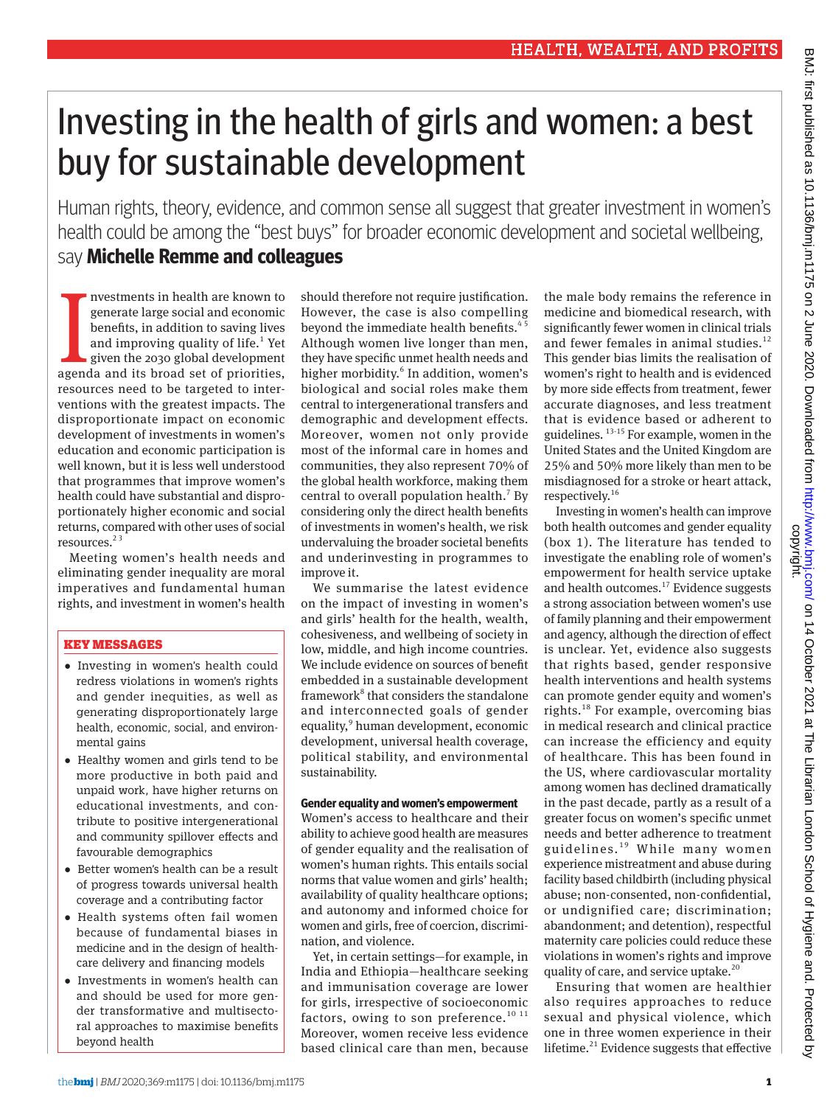# Investing in the health of girls and women: a best buy for sustainable development

Human rights, theory, evidence, and common sense all suggest that greater investment in women's health could be among the "best buys" for broader economic development and societal wellbeing, say **Michelle Remme and colleagues**

nvestments in health are known to<br>generate large social and economic<br>benefits, in addition to saving lives<br>and improving quality of life.<sup>1</sup> Yet<br>given the 2030 global development<br>agenda and its broad set of priorities, nvestments in health are known to generate large social and economic benefits, in addition to saving lives and improving quality of life.<sup>1</sup> Yet given the 2030 global development resources need to be targeted to interventions with the greatest impacts. The disproportionate impact on economic development of investments in women's education and economic participation is well known, but it is less well understood that programmes that improve women's health could have substantial and disproportionately higher economic and social returns, compared with other uses of social resources.<sup>23</sup>

Meeting women's health needs and eliminating gender inequality are moral imperatives and fundamental human rights, and investment in women's health

# KEY MESSAGES

- •  Investing in women's health could redress violations in women's rights and gender inequities, as well as generating disproportionately large health, economic, social, and environmental gains
- •  Healthy women and girls tend to be more productive in both paid and unpaid work, have higher returns on educational investments, and contribute to positive intergenerational and community spillover effects and favourable demographics
- •  Better women's health can be a result of progress towards universal health coverage and a contributing factor
- •  Health systems often fail women because of fundamental biases in medicine and in the design of healthcare delivery and financing models
- •  Investments in women's health can and should be used for more gender transformative and multisectoral approaches to maximise benefits beyond health

should therefore not require justification. However, the case is also compelling beyond the immediate health benefits.<sup>4</sup> Although women live longer than men, they have specific unmet health needs and higher morbidity.<sup>6</sup> In addition, women's biological and social roles make them central to intergenerational transfers and demographic and development effects. Moreover, women not only provide most of the informal care in homes and communities, they also represent 70% of the global health workforce, making them central to overall population health.<sup>7</sup> By considering only the direct health benefits of investments in women's health, we risk undervaluing the broader societal benefits and underinvesting in programmes to improve it.

We summarise the latest evidence on the impact of investing in women's and girls' health for the health, wealth, cohesiveness, and wellbeing of society in low, middle, and high income countries. We include evidence on sources of benefit embedded in a sustainable development framework<sup>8</sup> that considers the standalone and interconnected goals of gender equality,<sup>9</sup> human development, economic development, universal health coverage, political stability, and environmental sustainability.

#### **Gender equality and women's empowerment**

Women's access to healthcare and their ability to achieve good health are measures of gender equality and the realisation of women's human rights. This entails social norms that value women and girls' health; availability of quality healthcare options; and autonomy and informed choice for women and girls, free of coercion, discrimination, and violence.

Yet, in certain settings—for example, in India and Ethiopia—healthcare seeking and immunisation coverage are lower for girls, irrespective of socioeconomic factors, owing to son preference.<sup>10 11</sup> Moreover, women receive less evidence based clinical care than men, because

the male body remains the reference in medicine and biomedical research, with significantly fewer women in clinical trials and fewer females in animal studies. $^{12}$ This gender bias limits the realisation of women's right to health and is evidenced by more side effects from treatment, fewer accurate diagnoses, and less treatment that is evidence based or adherent to guidelines. 13-15 For example, women in the United States and the United Kingdom are 25% and 50% more likely than men to be misdiagnosed for a stroke or heart attack, respectively.<sup>16</sup>

Investing in women's health can improve both health outcomes and gender equality (box 1). The literature has tended to investigate the enabling role of women's empowerment for health service uptake and health outcomes.<sup>17</sup> Evidence suggests a strong association between women's use of family planning and their empowerment and agency, although the direction of effect is unclear. Yet, evidence also suggests that rights based, gender responsive health interventions and health systems can promote gender equity and women's rights.18 For example, overcoming bias in medical research and clinical practice can increase the efficiency and equity of healthcare. This has been found in the US, where cardiovascular mortality among women has declined dramatically in the past decade, partly as a result of a greater focus on women's specific unmet needs and better adherence to treatment guidelines. 19 While many women experience mistreatment and abuse during facility based childbirth (including physical abuse; non-consented, non-confidential, or undignified care; discrimination; abandonment; and detention), respectful maternity care policies could reduce these violations in women's rights and improve quality of care, and service uptake.<sup>20</sup>

Ensuring that women are healthier also requires approaches to reduce sexual and physical violence, which one in three women experience in their lifetime. $21$  Evidence suggests that effective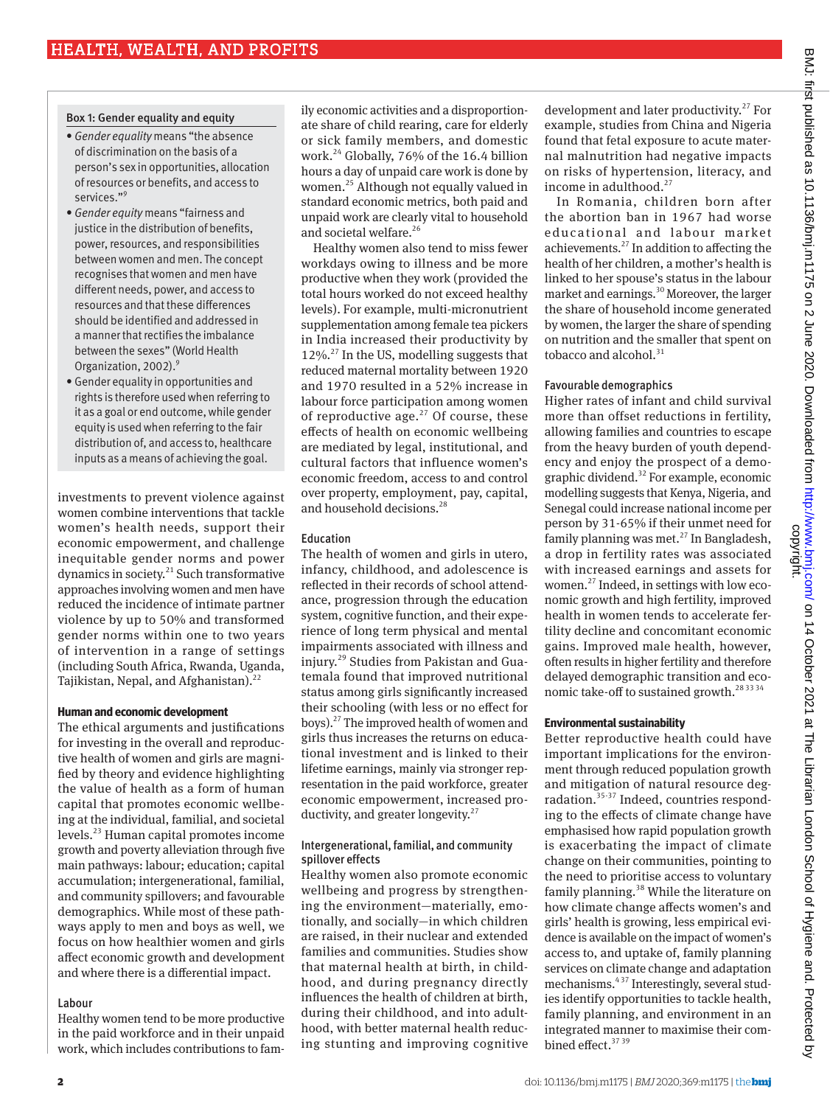# Box 1: Gender equality and equity

- *Gender equality* means "the absence of discrimination on the basis of a person's sex in opportunities, allocation of resources or benefits, and access to services."9
- *Gender equity* means "fairness and justice in the distribution of benefits, power, resources, and responsibilities between women and men. The concept recognises that women and men have different needs, power, and access to resources and that these differences should be identified and addressed in a manner that rectifies the imbalance between the sexes" (World Health Organization, 2002).<sup>9</sup>
- Gender equality in opportunities and rights is therefore used when referring to it as a goal or end outcome, while gender equity is used when referring to the fair distribution of, and access to, healthcare inputs as a means of achieving the goal.

investments to prevent violence against women combine interventions that tackle women's health needs, support their economic empowerment, and challenge inequitable gender norms and power dynamics in society.21 Such transformative approaches involving women and men have reduced the incidence of intimate partner violence by up to 50% and transformed gender norms within one to two years of intervention in a range of settings (including South Africa, Rwanda, Uganda, Tajikistan, Nepal, and Afghanistan). $^{22}$ 

#### **Human and economic development**

The ethical arguments and justifications for investing in the overall and reproductive health of women and girls are magnified by theory and evidence highlighting the value of health as a form of human capital that promotes economic wellbeing at the individual, familial, and societal levels.23 Human capital promotes income growth and poverty alleviation through five main pathways: labour; education; capital accumulation; intergenerational, familial, and community spillovers; and favourable demographics. While most of these pathways apply to men and boys as well, we focus on how healthier women and girls affect economic growth and development and where there is a differential impact.

# Labour

Healthy women tend to be more productive in the paid workforce and in their unpaid work, which includes contributions to family economic activities and a disproportionate share of child rearing, care for elderly or sick family members, and domestic work.<sup>24</sup> Globally, 76% of the 16.4 billion hours a day of unpaid care work is done by women.25 Although not equally valued in standard economic metrics, both paid and unpaid work are clearly vital to household and societal welfare.<sup>26</sup>

Healthy women also tend to miss fewer workdays owing to illness and be more productive when they work (provided the total hours worked do not exceed healthy levels). For example, multi-micronutrient supplementation among female tea pickers in India increased their productivity by 12%.<sup>27</sup> In the US, modelling suggests that reduced maternal mortality between 1920 and 1970 resulted in a 52% increase in labour force participation among women of reproductive age. $27$  Of course, these effects of health on economic wellbeing are mediated by legal, institutional, and cultural factors that influence women's economic freedom, access to and control over property, employment, pay, capital, and household decisions.<sup>28</sup>

### Education

The health of women and girls in utero, infancy, childhood, and adolescence is reflected in their records of school attendance, progression through the education system, cognitive function, and their experience of long term physical and mental impairments associated with illness and injury.29 Studies from Pakistan and Guatemala found that improved nutritional status among girls significantly increased their schooling (with less or no effect for boys).27 The improved health of women and girls thus increases the returns on educational investment and is linked to their lifetime earnings, mainly via stronger representation in the paid workforce, greater economic empowerment, increased productivity, and greater longevity. $27$ 

#### Intergenerational, familial, and community spillover effects

Healthy women also promote economic wellbeing and progress by strengthening the environment—materially, emotionally, and socially—in which children are raised, in their nuclear and extended families and communities. Studies show that maternal health at birth, in childhood, and during pregnancy directly influences the health of children at birth, during their childhood, and into adulthood, with better maternal health reducing stunting and improving cognitive

development and later productivity. $27$  For example, studies from China and Nigeria found that fetal exposure to acute maternal malnutrition had negative impacts on risks of hypertension, literacy, and income in adulthood.<sup>27</sup>

In Romania, children born after the abortion ban in 1967 had worse educational and labour market achievements. $^{27}$  In addition to affecting the health of her children, a mother's health is linked to her spouse's status in the labour market and earnings.30 Moreover, the larger the share of household income generated by women, the larger the share of spending on nutrition and the smaller that spent on tobacco and alcohol. $31$ 

#### Favourable demographics

Higher rates of infant and child survival more than offset reductions in fertility, allowing families and countries to escape from the heavy burden of youth dependency and enjoy the prospect of a demographic dividend.32 For example, economic modelling suggests that Kenya, Nigeria, and Senegal could increase national income per person by 31-65% if their unmet need for family planning was met. $^{27}$  In Bangladesh, a drop in fertility rates was associated with increased earnings and assets for women.27 Indeed, in settings with low economic growth and high fertility, improved health in women tends to accelerate fertility decline and concomitant economic gains. Improved male health, however, often results in higher fertility and therefore delayed demographic transition and economic take-off to sustained growth.<sup>28 33 34</sup>

#### **Environmental sustainability**

Better reproductive health could have important implications for the environment through reduced population growth and mitigation of natural resource degradation.35-37 Indeed, countries responding to the effects of climate change have emphasised how rapid population growth is exacerbating the impact of climate change on their communities, pointing to the need to prioritise access to voluntary family planning.<sup>38</sup> While the literature on how climate change affects women's and girls' health is growing, less empirical evidence is available on the impact of women's access to, and uptake of, family planning services on climate change and adaptation mechanisms.4 37 Interestingly, several studies identify opportunities to tackle health, family planning, and environment in an integrated manner to maximise their combined effect.<sup>37</sup><sup>39</sup>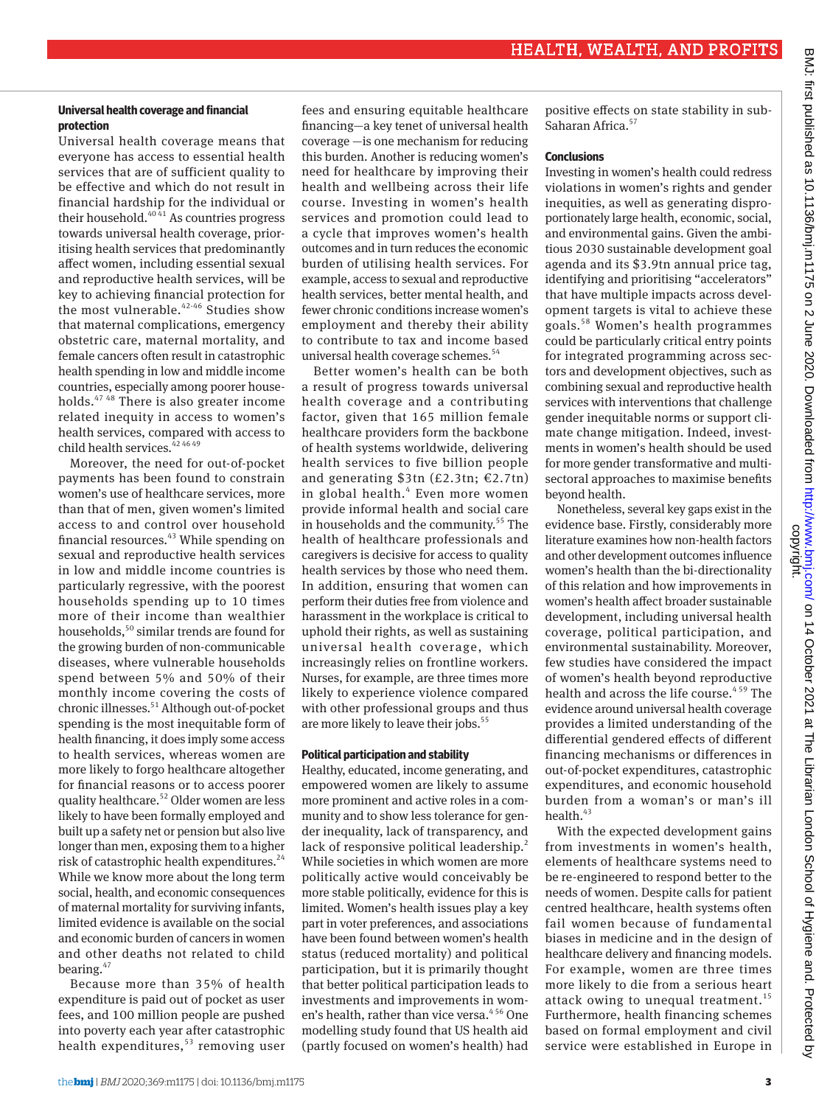# **Universal health coverage and financial protection**

Universal health coverage means that everyone has access to essential health services that are of sufficient quality to be effective and which do not result in financial hardship for the individual or their household. $4041}$  As countries progress towards universal health coverage, prioritising health services that predominantly affect women, including essential sexual and reproductive health services, will be key to achieving financial protection for the most vulnerable.42-46 Studies show that maternal complications, emergency obstetric care, maternal mortality, and female cancers often result in catastrophic health spending in low and middle income countries, especially among poorer households.47 48 There is also greater income related inequity in access to women's health services, compared with access to child health services.  $424649$ 

Moreover, the need for out-of-pocket payments has been found to constrain women's use of healthcare services, more than that of men, given women's limited access to and control over household financial resources.<sup>43</sup> While spending on sexual and reproductive health services in low and middle income countries is particularly regressive, with the poorest households spending up to 10 times more of their income than wealthier households,<sup>50</sup> similar trends are found for the growing burden of non-communicable diseases, where vulnerable households spend between 5% and 50% of their monthly income covering the costs of chronic illnesses.<sup>51</sup> Although out-of-pocket spending is the most inequitable form of health financing, it does imply some access to health services, whereas women are more likely to forgo healthcare altogether for financial reasons or to access poorer quality healthcare.52 Older women are less likely to have been formally employed and built up a safety net or pension but also live longer than men, exposing them to a higher risk of catastrophic health expenditures. $24$ While we know more about the long term social, health, and economic consequences of maternal mortality for surviving infants, limited evidence is available on the social and economic burden of cancers in women and other deaths not related to child bearing. $47$ 

Because more than 35% of health expenditure is paid out of pocket as user fees, and 100 million people are pushed into poverty each year after catastrophic health expenditures, $53$  removing user

fees and ensuring equitable healthcare financing—a key tenet of universal health coverage —is one mechanism for reducing this burden. Another is reducing women's need for healthcare by improving their health and wellbeing across their life course. Investing in women's health services and promotion could lead to a cycle that improves women's health outcomes and in turn reduces the economic burden of utilising health services. For example, access to sexual and reproductive health services, better mental health, and fewer chronic conditions increase women's employment and thereby their ability to contribute to tax and income based universal health coverage schemes.<sup>54</sup>

Better women's health can be both a result of progress towards universal health coverage and a contributing factor, given that 165 million female healthcare providers form the backbone of health systems worldwide, delivering health services to five billion people and generating \$3tn (£2.3tn; €2.7tn) in global health.<sup>4</sup> Even more women provide informal health and social care in households and the community.<sup>55</sup> The health of healthcare professionals and caregivers is decisive for access to quality health services by those who need them. In addition, ensuring that women can perform their duties free from violence and harassment in the workplace is critical to uphold their rights, as well as sustaining universal health coverage, which increasingly relies on frontline workers. Nurses, for example, are three times more likely to experience violence compared with other professional groups and thus are more likely to leave their jobs.<sup>55</sup>

# **Political participation and stability**

Healthy, educated, income generating, and empowered women are likely to assume more prominent and active roles in a community and to show less tolerance for gender inequality, lack of transparency, and lack of responsive political leadership.<sup>2</sup> While societies in which women are more politically active would conceivably be more stable politically, evidence for this is limited. Women's health issues play a key part in voter preferences, and associations have been found between women's health status (reduced mortality) and political participation, but it is primarily thought that better political participation leads to investments and improvements in women's health, rather than vice versa.<sup>456</sup> One modelling study found that US health aid (partly focused on women's health) had

positive effects on state stability in sub-Saharan Africa.<sup>57</sup>

# **Conclusions**

Investing in women's health could redress violations in women's rights and gender inequities, as well as generating disproportionately large health, economic, social, and environmental gains. Given the ambitious 2030 sustainable development goal agenda and its \$3.9tn annual price tag, identifying and prioritising "accelerators" that have multiple impacts across development targets is vital to achieve these goals.58 Women's health programmes could be particularly critical entry points for integrated programming across sectors and development objectives, such as combining sexual and reproductive health services with interventions that challenge gender inequitable norms or support climate change mitigation. Indeed, investments in women's health should be used for more gender transformative and multisectoral approaches to maximise benefits beyond health.

Nonetheless, several key gaps exist in the evidence base. Firstly, considerably more literature examines how non-health factors and other development outcomes influence women's health than the bi-directionality of this relation and how improvements in women's health affect broader sustainable development, including universal health coverage, political participation, and environmental sustainability. Moreover, few studies have considered the impact of women's health beyond reproductive health and across the life course.<sup>459</sup> The evidence around universal health coverage provides a limited understanding of the differential gendered effects of different financing mechanisms or differences in out-of-pocket expenditures, catastrophic expenditures, and economic household burden from a woman's or man's ill health. $43$ 

With the expected development gains from investments in women's health, elements of healthcare systems need to be re-engineered to respond better to the needs of women. Despite calls for patient centred healthcare, health systems often fail women because of fundamental biases in medicine and in the design of healthcare delivery and financing models. For example, women are three times more likely to die from a serious heart attack owing to unequal treatment.<sup>15</sup> Furthermore, health financing schemes based on formal employment and civil service were established in Europe in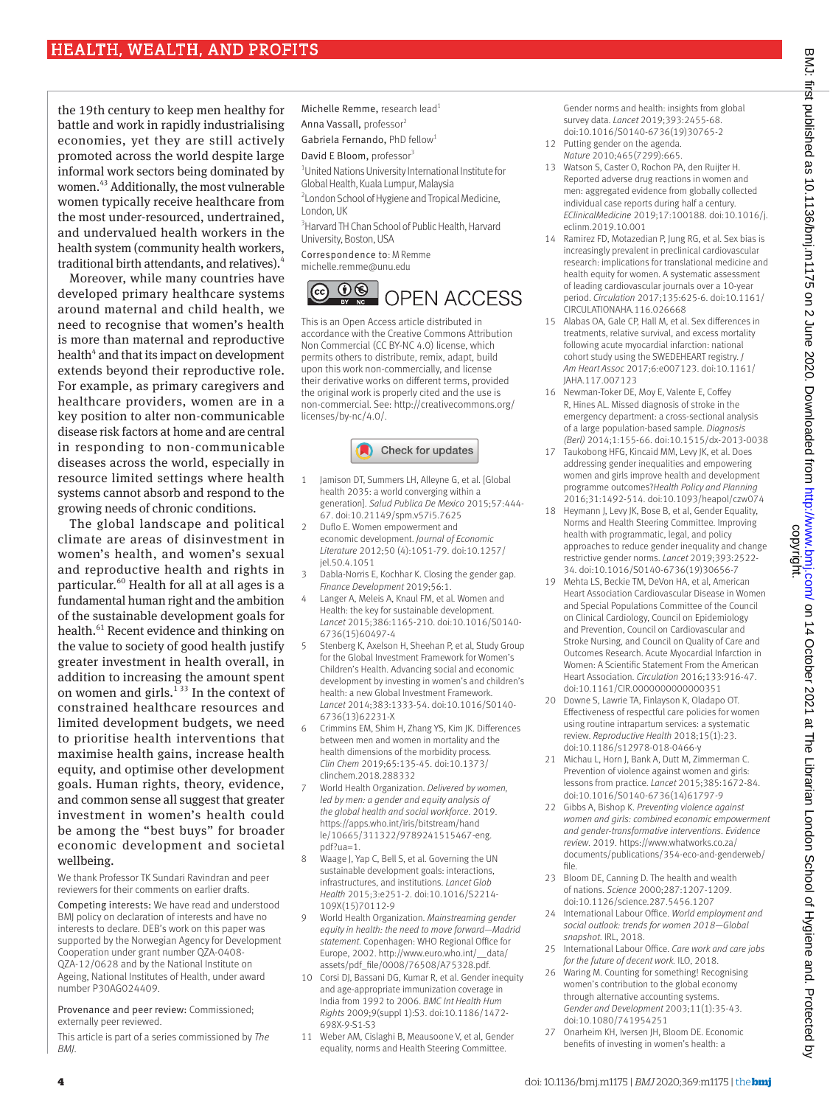the 19th century to keep men healthy for battle and work in rapidly industrialising economies, yet they are still actively promoted across the world despite large informal work sectors being dominated by women.43 Additionally, the most vulnerable women typically receive healthcare from the most under-resourced, undertrained, and undervalued health workers in the health system (community health workers, traditional birth attendants, and relatives).

Moreover, while many countries have developed primary healthcare systems around maternal and child health, we need to recognise that women's health is more than maternal and reproductive health<sup>4</sup> and that its impact on development extends beyond their reproductive role. For example, as primary caregivers and healthcare providers, women are in a key position to alter non-communicable disease risk factors at home and are central in responding to non-communicable diseases across the world, especially in resource limited settings where health systems cannot absorb and respond to the growing needs of chronic conditions.

The global landscape and political climate are areas of disinvestment in women's health, and women's sexual and reproductive health and rights in particular.<sup>60</sup> Health for all at all ages is a fundamental human right and the ambition of the sustainable development goals for health.<sup>61</sup> Recent evidence and thinking on the value to society of good health justify greater investment in health overall, in addition to increasing the amount spent on women and girls.<sup>133</sup> In the context of constrained healthcare resources and limited development budgets, we need to prioritise health interventions that maximise health gains, increase health equity, and optimise other development goals. Human rights, theory, evidence, and common sense all suggest that greater investment in women's health could be among the "best buys" for broader economic development and societal wellbeing.

We thank Professor TK Sundari Ravindran and peer reviewers for their comments on earlier drafts.

Competing interests: We have read and understood BMJ policy on declaration of interests and have no interests to declare. DEB's work on this paper was supported by the Norwegian Agency for Development Cooperation under grant number QZA-0408- QZA-12/0628 and by the National Institute on Ageing, National Institutes of Health, under award number P30AG024409.

Provenance and peer review: Commissioned; externally peer reviewed.

This article is part of a series commissioned by *The BMJ*.

Michelle Remme, research lead<sup>1</sup> Anna Vassall, professor2 Gabriela Fernando, PhD fellow<sup>1</sup> David E Bloom, professor<sup>3</sup> 1 United Nations University International Institute for Global Health, Kuala Lumpur, Malaysia

<sup>2</sup> London School of Hygiene and Tropical Medicine, London, UK <sup>3</sup> Harvard TH Chan School of Public Health, Harvard

University, Boston, USA

Correspondence to: M Remme [michelle.remme@unu.edu](mailto:michelle.remme@unu.edu)



This is an Open Access article distributed in accordance with the Creative Commons Attribution Non Commercial (CC BY-NC 4.0) license, which permits others to distribute, remix, adapt, build upon this work non-commercially, and license their derivative works on different terms, provided the original work is properly cited and the use is non-commercial. See: [http://creativecommons.org/](http://creativecommons.org/licenses/by-nc/4.0/) [licenses/by-nc/4.0/](http://creativecommons.org/licenses/by-nc/4.0/).



- 1 Jamison DT, Summers LH, Alleyne G, et al. [Global] health 2035: a world converging within a generation]. *Salud Publica De Mexico* 2015;57:444- 67. doi:10.21149/spm.v57i5.7625
- 2 Duflo E. Women empowerment and economic development. *Journal of Economic Literature* 2012;50 (4):1051-79. doi:10.1257/ jel.50.4.1051
- 3 Dabla-Norris E, Kochhar K. Closing the gender gap. *Finance Development* 2019;56:1.
- 4 Langer A, Meleis A, Knaul FM, et al. Women and Health: the key for sustainable development. *Lancet* 2015;386:1165-210. doi:10.1016/S0140- 6736(15)60497-4
- 5 Stenberg K, Axelson H, Sheehan P, et al, Study Group for the Global Investment Framework for Women's Children's Health. Advancing social and economic development by investing in women's and children's health: a new Global Investment Framework. *Lancet* 2014;383:1333-54. doi:10.1016/S0140- 6736(13)62231-X
- 6 Crimmins EM, Shim H, Zhang YS, Kim JK. Differences between men and women in mortality and the health dimensions of the morbidity process. *Clin Chem* 2019;65:135-45. doi:10.1373/ clinchem.2018.288332
- 7 World Health Organization. *Delivered by women, led by men: a gender and equity analysis of the global health and social workforce*. 2019. [https://apps.who.int/iris/bitstream/hand](https://apps.who.int/iris/bitstream/handle/10665/311322/9789241515467-eng.pdf?ua=1) [le/10665/311322/9789241515467-eng.](https://apps.who.int/iris/bitstream/handle/10665/311322/9789241515467-eng.pdf?ua=1) [pdf?ua=1](https://apps.who.int/iris/bitstream/handle/10665/311322/9789241515467-eng.pdf?ua=1).
- 8 Waage J, Yap C, Bell S, et al. Governing the UN sustainable development goals: interactions, infrastructures, and institutions. *Lancet Glob Health* 2015;3:e251-2. doi:10.1016/S2214- 109X(15)70112-9
- 9 World Health Organization. *Mainstreaming gender equity in health: the need to move forward—Madrid statement*. Copenhagen: WHO Regional Office for Europe, 2002. [http://www.euro.who.int/\\_\\_data/](http://www.euro.who.int/__data/assets/pdf_file/0008/76508/A75328.pdf) [assets/pdf\\_file/0008/76508/A75328.pdf.](http://www.euro.who.int/__data/assets/pdf_file/0008/76508/A75328.pdf)
- 10 Corsi DJ, Bassani DG, Kumar R, et al. Gender inequity and age-appropriate immunization coverage in India from 1992 to 2006. *BMC Int Health Hum Rights* 2009;9(suppl 1):S3. doi:10.1186/1472- 698X-9-S1-S3
- 11 Weber AM, Cislaghi B, Meausoone V, et al, Gender equality, norms and Health Steering Committee.

Gender norms and health: insights from global survey data. *Lancet* 2019;393:2455-68. doi:10.1016/S0140-6736(19)30765-2

- 12 Putting gender on the agenda. *Nature* 2010;465(7299):665.
- 13 Watson S, Caster O, Rochon PA, den Ruijter H. Reported adverse drug reactions in women and men: aggregated evidence from globally collected individual case reports during half a century. *EClinicalMedicine* 2019;17:100188. doi:10.1016/j. eclinm.2019.10.001
- 14 Ramirez FD, Motazedian P, Jung RG, et al. Sex bias is increasingly prevalent in preclinical cardiovascular research: implications for translational medicine and health equity for women. A systematic assessment of leading cardiovascular journals over a 10-year period. *Circulation* 2017;135:625-6. doi:10.1161/ CIRCULATIONAHA.116.026668
- 15 Alabas OA, Gale CP, Hall M, et al. Sex differences in treatments, relative survival, and excess mortality following acute myocardial infarction: national cohort study using the SWEDEHEART registry. *J Am Heart Assoc* 2017;6:e007123. doi:10.1161/ JAHA.117.007123
- 16 Newman-Toker DE, Moy E, Valente E, Coffey R, Hines AL. Missed diagnosis of stroke in the emergency department: a cross-sectional analysis of a large population-based sample. *Diagnosis (Berl)* 2014;1:155-66. doi:10.1515/dx-2013-0038
- 17 Taukobong HFG, Kincaid MM, Levy JK, et al. Does addressing gender inequalities and empowering women and girls improve health and development programme outcomes?*Health Policy and Planning*  2016;31:1492-514. doi:10.1093/heapol/czw074
- 18 Heymann I, Levy IK, Bose B, et al, Gender Equality, Norms and Health Steering Committee. Improving health with programmatic, legal, and policy approaches to reduce gender inequality and change restrictive gender norms. *Lancet* 2019;393:2522- 34. doi:10.1016/S0140-6736(19)30656-7
- Mehta LS, Beckie TM, DeVon HA, et al, American Heart Association Cardiovascular Disease in Women and Special Populations Committee of the Council on Clinical Cardiology, Council on Epidemiology and Prevention, Council on Cardiovascular and Stroke Nursing, and Council on Quality of Care and Outcomes Research. Acute Myocardial Infarction in Women: A Scientific Statement From the American Heart Association. *Circulation* 2016;133:916-47. doi:10.1161/CIR.0000000000000351
- 20 Downe S, Lawrie TA, Finlayson K, Oladapo OT. Effectiveness of respectful care policies for women using routine intrapartum services: a systematic review. *Reproductive Health* 2018;15(1):23. doi:10.1186/s12978-018-0466-y
- 21 Michau L, Horn J, Bank A, Dutt M, Zimmerman C. Prevention of violence against women and girls: lessons from practice. *Lancet* 2015;385:1672-84. doi:10.1016/S0140-6736(14)61797-9
- 22 Gibbs A, Bishop K. *Preventing violence against women and girls: combined economic empowerment and gender-transformative interventions. Evidence review*. 2019. [https://www.whatworks.co.za/](https://www.whatworks.co.za/documents/publications/354-eco-and-genderweb/file) [documents/publications/354-eco-and-genderweb/](https://www.whatworks.co.za/documents/publications/354-eco-and-genderweb/file) [file.](https://www.whatworks.co.za/documents/publications/354-eco-and-genderweb/file)
- 23 Bloom DE, Canning D. The health and wealth of nations. *Science* 2000;287:1207-1209. doi:10.1126/science.287.5456.1207
- 24 International Labour Office. *World employment and social outlook: trends for women 2018—Global snapshot*. IRL, 2018.
- 25 International Labour Office. *Care work and care jobs for the future of decent work.* ILO, 2018.
- 26 Waring M. Counting for something! Recognising women's contribution to the global economy through alternative accounting systems. *Gender and Development* 2003;11(1):35-43. doi:10.1080/741954251
- 27 Onarheim KH, Iversen JH, Bloom DE. Economic benefits of investing in women's health: a